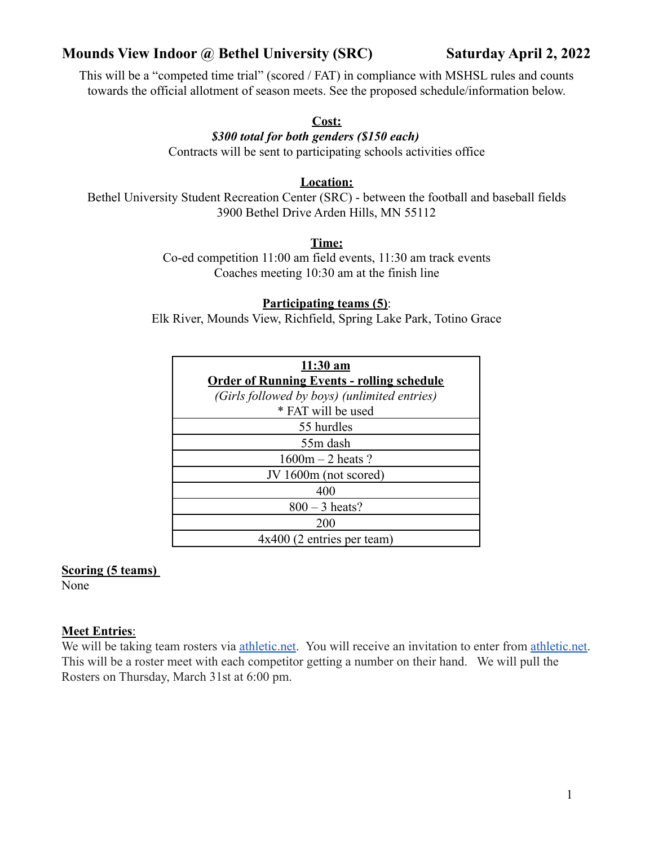# **Mounds View Indoor @ Bethel University (SRC) Saturday April 2, 2022**

This will be a "competed time trial" (scored / FAT) in compliance with MSHSL rules and counts towards the official allotment of season meets. See the proposed schedule/information below.

#### **Cost:**

## *\$300 total for both genders (\$150 each)* Contracts will be sent to participating schools activities office

### **Location:**

Bethel University Student Recreation Center (SRC) - between the football and baseball fields 3900 Bethel Drive Arden Hills, MN 55112

### **Time:**

Co-ed competition 11:00 am field events, 11:30 am track events Coaches meeting 10:30 am at the finish line

#### **Participating teams (5)**:

Elk River, Mounds View, Richfield, Spring Lake Park, Totino Grace

| $11:30$ am                                        |
|---------------------------------------------------|
| <b>Order of Running Events - rolling schedule</b> |
| (Girls followed by boys) (unlimited entries)      |
| * FAT will be used                                |
| 55 hurdles                                        |
| 55m dash                                          |
| $1600m - 2$ heats?                                |
| JV 1600m (not scored)                             |
| 400                                               |
| $800 - 3$ heats?                                  |
| 200                                               |
| $4x400$ (2 entries per team)                      |

#### **Scoring (5 teams)**

None

## **Meet Entries**:

We will be taking team rosters via *[athletic.net](http://athletic.net/)*. You will receive an invitation to enter from *athletic.net*. This will be a roster meet with each competitor getting a number on their hand. We will pull the Rosters on Thursday, March 31st at 6:00 pm.